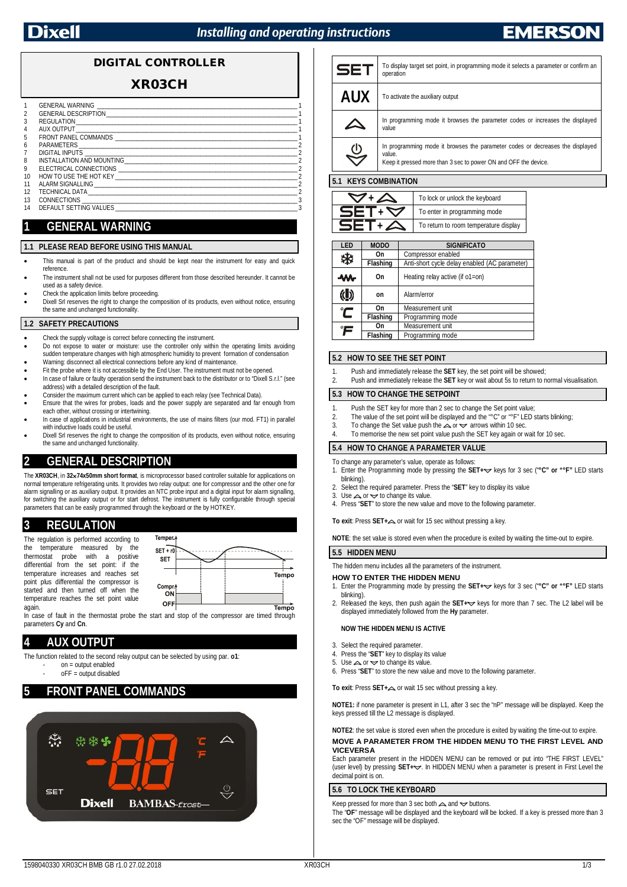## **Installing and operating instructions**

## **DIGITAL CONTROLLER**

## **XR03CH**

|    | GENERAL WARNING <b>EXAMPLE AND THE SERVICE SERVICE</b>                                                                                                                                                                         |  |
|----|--------------------------------------------------------------------------------------------------------------------------------------------------------------------------------------------------------------------------------|--|
| 2  | GENERAL DESCRIPTION AND THE STATE OF THE STATE OF THE STATE OF THE STATE OF THE STATE OF THE STATE OF THE STATE OF THE STATE OF THE STATE OF THE STATE OF THE STATE OF THE STATE OF THE STATE OF THE STATE OF THE STATE OF THE |  |
| 3  |                                                                                                                                                                                                                                |  |
| 4  | AUX OUTPUT                                                                                                                                                                                                                     |  |
| 5  | FRONT PANEL COMMANDS <b>EXAMPLE 2008</b>                                                                                                                                                                                       |  |
| 6  |                                                                                                                                                                                                                                |  |
|    | DIGITAL INPUTS <b>And Constitution CONSTRAL INPUTS</b>                                                                                                                                                                         |  |
| 8  | INSTALLATION AND MOUNTING THE STATE OF STATES AND THE STATES OF STATES OF STATES AND STATES OF STATES OF STATES                                                                                                                |  |
| 9  |                                                                                                                                                                                                                                |  |
| 10 |                                                                                                                                                                                                                                |  |
| 11 | ALARM SIGNALLING TELECOMORE ALARM SIGNALLING                                                                                                                                                                                   |  |
| 12 |                                                                                                                                                                                                                                |  |
| 13 | CONNECTIONS <b>CONNECTIONS</b>                                                                                                                                                                                                 |  |
| 14 | DEFAULT SETTING VALUES                                                                                                                                                                                                         |  |
|    |                                                                                                                                                                                                                                |  |

## **1 GENERAL WARNING**

#### **1.1 PLEASE READ BEFORE USING THIS MANUAL**

- This manual is part of the product and should be kept near the instrument for easy and quick reference.
- The instrument shall not be used for purposes different from those described hereunder. It cannot be used as a safety device.
- Check the application limits before proceeding.
- Dixell Srl reserves the right to change the composition of its products, even without notice, ensuring the same and unchanged functionality.

#### **1.2 SAFETY PRECAUTIONS**

- Check the supply voltage is correct before connecting the instrument.
- Do not expose to water or moisture: use the controller only within the operating limits avoiding sudden temperature changes with high atmospheric humidity to prevent formation of condensation
- Warning: disconnect all electrical connections before any kind of maintenance. Fit the probe where it is not accessible by the End User. The instrument must not be opened.
- In case of failure or faulty operation send the instrument back to the distributor or to "Dixell S.r.l." (see address) with a detailed description of the fault.
- Consider the maximum current which can be applied to each relay (see Technical Data).
- Ensure that the wires for probes, loads and the power supply are separated and far enough from
- each other, without crossing or intertwining. In case of applications in industrial environments, the use of mains filters (our mod. FT1) in parallel with inductive loads could be useful.
- Dixell Srl reserves the right to change the composition of its products, even without notice, ensuring the same and unchanged functionality.

## **2 GENERAL DESCRIPTION**

The **XR03CH**, in **3274x50mm short format**, is microprocessor based controller suitable for applications on normal temperature refrigerating units. It provides two relay output: one for compressor and the other one for alarm signalling or as auxiliary output. It provides an NTC probe input and a digital input for alarm signalling, for switching the auxiliary output or for start defrost. The instrument is fully configurable through special parameters that can be easily programmed through the keyboard or the by HOTKEY.

## **3 REGULATION**

The regulation is performed according to the temperature measured by the thermostat probe with a positive differential from the set point: if the temperature increases and reaches set point plus differential the compressor is started and then turned off when the temperature reaches the set point value again.



In case of fault in the thermostat probe the start and stop of the compressor are timed through parameters **Cy** and **Cn**.

## **4 AUX OUTPUT**

The function related to the second relay output can be selected by using par. **o1**: - on = output enabled

 $oFF = output$  disabled

## **5 FRONT PANEL COMMANDS**



| <b>SET</b>        | To display target set point, in programming mode it selects a parameter or confirm an<br>operation                                                         |  |
|-------------------|------------------------------------------------------------------------------------------------------------------------------------------------------------|--|
| <b>AUX</b>        | To activate the auxiliary output                                                                                                                           |  |
|                   | In programming mode it browses the parameter codes or increases the displayed<br>value                                                                     |  |
| $\mathbf{\Theta}$ | In programming mode it browses the parameter codes or decreases the displayed<br>value.<br>Keep it pressed more than 3 sec to power ON and OFF the device. |  |

## **5.1 KEYS COMBINATION**

| To lock or unlock the keyboard        |  |
|---------------------------------------|--|
| To enter in programming mode          |  |
| To return to room temperature display |  |

| LED           | <b>MODO</b>     | <b>SIGNIFICATO</b>                            |  |
|---------------|-----------------|-----------------------------------------------|--|
| ₩             | On              | Compressor enabled                            |  |
|               | <b>Flashing</b> | Anti-short cycle delay enabled (AC parameter) |  |
| On<br>m       |                 | Heating relay active (if o1=on)               |  |
| on            |                 | Alarm/error                                   |  |
| $\mathbf C$   | On              | Measurement unit                              |  |
|               | Flashing        | Programming mode                              |  |
| $\mathcal{F}$ | On              | Measurement unit                              |  |
|               | <b>Flashing</b> | Programming mode                              |  |

#### **5.2 HOW TO SEE THE SET POINT**

- Push and immediately release the **SET** key, the set point will be showed;
- 2. Push and immediately release the **SET** key or wait about 5s to return to normal visualisation.

#### **5.3 HOW TO CHANGE THE SETPOINT**

- 
- 1. Push the SET key for more than 2 sec to change the Set point value;<br>2. The value of the set point will be displayed and the "°C" or "°F" LFD s 2. The value of the set point will be displayed and the "°C" or "°F" LED starts blinking;<br>3. To change the Set value push the  $\triangle$  or  $\triangle$  arrows within 10 sec.
- To change the Set value push the  $\triangle$  or  $\triangle$  arrows within 10 sec.
- 4. To memorise the new set point value push the SET key again or wait for 10 sec.

#### **5.4 HOW TO CHANGE A PARAMETER VALUE**

- To change any parameter's value, operate as follows: 1. Enter the Programming mode by pressing the SET+ keys for 3 sec ("°C" or "°F" LED starts
- blinking).
- 2. Select the required parameter. Press the "**SET**" key to display its value 3. Use  $\triangle$  or  $\triangle$  to change its value.
- 4. Press "**SET**" to store the new value and move to the following parameter.

**To exit:** Press **SET**+ $\triangle$  or wait for 15 sec without pressing a key.

**NOTE**: the set value is stored even when the procedure is exited by waiting the time-out to expire.

#### **5.5 HIDDEN MENU**

The hidden menu includes all the parameters of the instrument.

#### **HOW TO ENTER THE HIDDEN MENU**

- 1. Enter the Programming mode by pressing the SET+ $\sim$  keys for 3 sec ("°C" or "°F" LED starts blinking).
- 2. Released the keys, then push again the **SET**+ $\sim$  keys for more than 7 sec. The L2 label will be displayed immediately followed from the **Hy** parameter.

#### **NOW THE HIDDEN MENU IS ACTIVE**

- 3. Select the required parameter.
- 4. Press the "**SET**" key to display its value
- 5. Use  $\triangle$  or  $\triangle$  to change its value.
- 6. Press "**SET**" to store the new value and move to the following parameter.

**To exit:** Press **SET+** or wait 15 sec without pressing a key.

**NOTE1:** if none parameter is present in L1, after 3 sec the "nP" message will be displayed. Keep the keys pressed till the L2 message is displayed.

#### **NOTE2**: the set value is stored even when the procedure is exited by waiting the time-out to expire. **MOVE A PARAMETER FROM THE HIDDEN MENU TO THE FIRST LEVEL AND VICEVERSA**

Each parameter present in the HIDDEN MENU can be removed or put into "THE FIRST LEVEL" (user level) by pressing **SET+** . In HIDDEN MENU when a parameter is present in First Level the decimal point is on.

#### **5.6 TO LOCK THE KEYBOARD**

Keep pressed for more than 3 sec both  $\triangle$  and  $\blacktriangledown$  buttons.

The "**OF**" message will be displayed and the keyboard will be locked. If a key is pressed more than 3 sec the "OF" message will be displayed.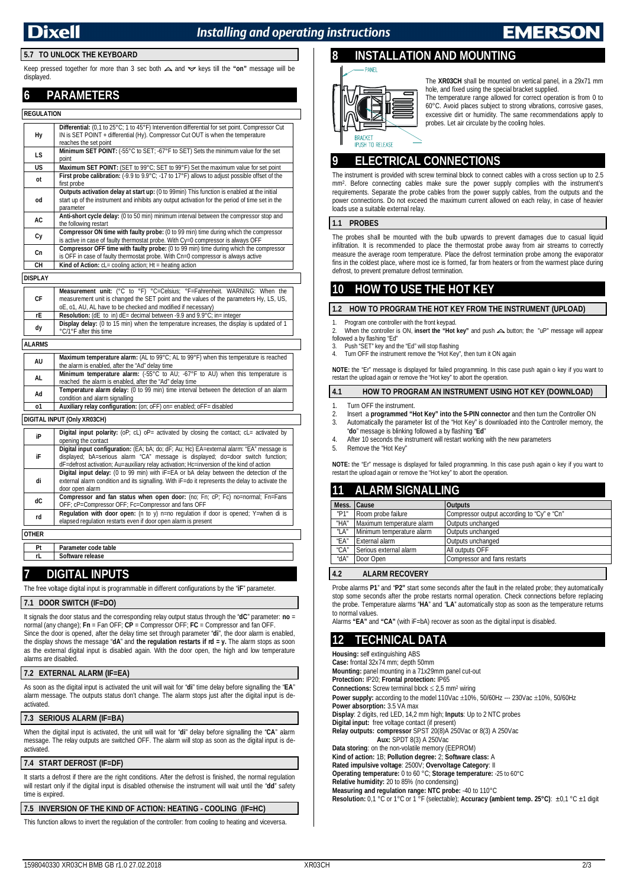## Installing and operating instructions

#### **5.7 TO UNLOCK THE KEYBOARD**

Keep pressed together for more than 3 sec both  $\triangle$  and  $\triangledown$  keys till the "on" message will be displayed.

### **6 PARAMETERS**

#### **REGULATION**

| Hy                                                                                                                                                                                     | <b>Differential:</b> (0,1 to 25°C; 1 to 45°F) Intervention differential for set point. Compressor Cut<br>IN is SET POINT + differential (Hy). Compressor Cut OUT is when the temperature<br>reaches the set point |  |
|----------------------------------------------------------------------------------------------------------------------------------------------------------------------------------------|-------------------------------------------------------------------------------------------------------------------------------------------------------------------------------------------------------------------|--|
| LS                                                                                                                                                                                     | Minimum SET POINT: (-55°C to SET; -67°F to SET) Sets the minimum value for the set<br>point                                                                                                                       |  |
| US                                                                                                                                                                                     | Maximum SET POINT: (SET to 99°C; SET to 99°F) Set the maximum value for set point                                                                                                                                 |  |
| ot                                                                                                                                                                                     | First probe calibration: (-9.9 to 9.9°C; -17 to 17°F) allows to adjust possible offset of the<br>first probe                                                                                                      |  |
| od                                                                                                                                                                                     | Outputs activation delay at start up: (0 to 99min) This function is enabled at the initial<br>start up of the instrument and inhibits any output activation for the period of time set in the<br>parameter        |  |
| <b>AC</b>                                                                                                                                                                              | Anti-short cycle delay: (0 to 50 min) minimum interval between the compressor stop and<br>the following restart                                                                                                   |  |
| Cy                                                                                                                                                                                     | Compressor ON time with faulty probe: (0 to 99 min) time during which the compressor<br>is active in case of faulty thermostat probe. With Cy=0 compressor is always OFF                                          |  |
| <b>Compressor OFF time with faulty probe:</b> (0 to 99 min) time during which the compressor<br>Cn<br>is OFF in case of faulty thermostat probe. With Cn=0 compressor is always active |                                                                                                                                                                                                                   |  |
| CН                                                                                                                                                                                     | <b>Kind of Action:</b> $cL =$ cooling action: $Ht =$ heating action                                                                                                                                               |  |

#### **DISPLAY**

| СF | <b>Measurement unit:</b> (°C to °F) °C=Celsius; °F=Fahrenheit. WARNING: When the<br>measurement unit is changed the SET point and the values of the parameters Hy, LS, US,<br>oE, o1, AU, AL have to be checked and modified if necessary) |  |  |
|----|--------------------------------------------------------------------------------------------------------------------------------------------------------------------------------------------------------------------------------------------|--|--|
| rE | <b>Resolution:</b> ( $dE$ to in) $dE$ = decimal between -9.9 and 9.9 $^{\circ}$ C; in= integer                                                                                                                                             |  |  |
| dy | <b>Display delay:</b> (0 to 15 min) when the temperature increases, the display is updated of 1<br>°C/1°F after this time                                                                                                                  |  |  |

#### **ALARMS**

| AU                          | Maximum temperature alarm: (AL to 99°C; AL to 99°F) when this temperature is reached                    |  |  |
|-----------------------------|---------------------------------------------------------------------------------------------------------|--|--|
|                             | the alarm is enabled, after the "Ad" delay time                                                         |  |  |
| AL.                         | <b>Minimum temperature alarm:</b> $(.55^{\circ}C$ to AU; $-67^{\circ}F$ to AU) when this temperature is |  |  |
|                             | reached the alarm is enabled, after the "Ad" delay time                                                 |  |  |
| Ad                          | Temperature alarm delay: (0 to 99 min) time interval between the detection of an alarm                  |  |  |
|                             | condition and alarm signalling                                                                          |  |  |
| 01                          | Auxiliary relay configuration: (on; oFF) on= enabled; oFF= disabled                                     |  |  |
|                             |                                                                                                         |  |  |
| DIGITAL INPUT (Only XR03CH) |                                                                                                         |  |  |
|                             |                                                                                                         |  |  |
| iP                          | <b>Digital input polarity:</b> (oP; cL) oP= activated by closing the contact; cL= activated by          |  |  |
|                             | opening the contact                                                                                     |  |  |
|                             | Digital input configuration: (EA; bA; do; dF; Au; Hc) EA=external alarm: "EA" message is                |  |  |
| iF                          | displayed; bA=serious alarm "CA" message is displayed; do=door switch function;                         |  |  |
|                             | dF=defrost activation; Au=auxiliary relay activation; Hc=inversion of the kind of action                |  |  |
|                             |                                                                                                         |  |  |
|                             | <b>Digital input delay:</b> (0 to 99 min) with $IF = EA$ or bA delay between the detection of the       |  |  |

| di | external alarm condition and its signalling. With $F = do$ it represents the delay to activate the<br>door open alarm                                        |
|----|--------------------------------------------------------------------------------------------------------------------------------------------------------------|
| dС | <b>Compressor and fan status when open door:</b> (no: Fn; cP; Fc) no=normal; Fn=Fans<br>OFF; cP=Compressor OFF; Fc=Compressor and fans OFF                   |
| rd | <b>Regulation with door open:</b> (n to y) n=no regulation if door is opened; Y=when di is<br>elapsed regulation restarts even if door open alarm is present |

**OTHER**

**Pt Parameter code table Software release** 

### **7 DIGITAL INPUTS**

The free voltage digital input is programmable in different configurations by the "**iF**" parameter.

#### **7.1 DOOR SWITCH (IF=DO)**

It signals the door status and the corresponding relay output status through the "**dC**" parameter: **no** = normal (any change); **Fn** = Fan OFF; **CP** = Compressor OFF; **FC** = Compressor and fan OFF. Since the door is opened, after the delay time set through parameter "**di**", the door alarm is enabled, the display shows the message "**dA**" and **the regulation restarts if rd = y.** The alarm stops as soon as the external digital input is disabled again. With the door open, the high and low temperature alarms are disabled.

#### **7.2 EXTERNAL ALARM (IF=EA)**

As soon as the digital input is activated the unit will wait for "**di**" time delay before signalling the "**EA**" alarm message. The outputs status don't change. The alarm stops just after the digital input is deactivated.

### **7.3 SERIOUS ALARM (IF=BA)**

When the digital input is activated, the unit will wait for "**di**" delay before signalling the "**CA**" alarm message. The relay outputs are switched OFF. The alarm will stop as soon as the digital input is deactivated.

#### **7.4 START DEFROST (IF=DF)**

It starts a defrost if there are the right conditions. After the defrost is finished, the normal regulation will restart only if the digital input is disabled otherwise the instrument will wait until the "**dd**" safety time is expired.

## **7.5 INVERSION OF THE KIND OF ACTION: HEATING - COOLING (IF=HC)**

This function allows to invert the regulation of the controller: from cooling to heating and viceversa.

## **8 INSTALLATION AND MOUNTING**



The **XR03CH** shall be mounted on vertical panel, in a 29x71 mm hole, and fixed using the special bracket supplied. The temperature range allowed for correct operation is from 0 to

60°C. Avoid places subject to strong vibrations, corrosive gases, excessive dirt or humidity. The same recommendations apply to probes. Let air circulate by the cooling holes.

## **9 ELECTRICAL CONNECTIONS**

The instrument is provided with screw terminal block to connect cables with a cross section up to 2.5 mm<sup>2</sup> . Before connecting cables make sure the power supply complies with the instrument's requirements. Separate the probe cables from the power supply cables, from the outputs and the power connections. Do not exceed the maximum current allowed on each relay, in case of heavier loads use a suitable external relay.

#### **1.1 PROBES**

The probes shall be mounted with the bulb upwards to prevent damages due to casual liquid infiltration. It is recommended to place the thermostat probe away from air streams to correctly measure the average room temperature. Place the defrost termination probe among the evaporator fins in the coldest place, where most ice is formed, far from heaters or from the warmest place during defrost, to prevent premature defrost termination.

## **10 HOW TO USE THE HOT KEY**

#### **1.2 HOW TO PROGRAM THE HOT KEY FROM THE INSTRUMENT (UPLOAD)**

Program one controller with the front keypad.

When the controller is ON, **insert the "Hot key"** and push  $\triangle$  button; the "uP" message will appear followed a by flashing "Ed"

3. Push "SET" key and the "Ed" will stop flashing 4. Turn OFF the instrument remove the "Hot Key", then turn it ON again

**NOTE:** the "Er" message is displayed for failed programming. In this case push again o key if you want to restart the upload again or remove the "Hot key" to abort the operation.

#### **4.1 HOW TO PROGRAM AN INSTRUMENT USING HOT KEY (DOWNLOAD)**

- 1. Turn OFF the instrument.
- 2. Insert a **programmed "Hot Key" into the 5-PIN connector** and then turn the Controller ON 3. Automatically the parameter list of the "Hot Key" is downloaded into the Controller memory. It Automatically the parameter list of the "Hot Key" is downloaded into the Controller memory, the "**do**" message is blinking followed a by flashing "**Ed**"
- After 10 seconds the instrument will restart working with the new parameters
- 5. Remove the "Hot Key"

**NOTE:** the "Er" message is displayed for failed programming. In this case push again o key if you want to restart the upload again or remove the "Hot key" to abort the operation.

## **11 ALARM SIGNALLING**

| Mess. Cause   |                           | <b>Outputs</b>                             |
|---------------|---------------------------|--------------------------------------------|
| "P1"          | Room probe failure        | Compressor output according to "Cy" e "Cn" |
| "HA"          | Maximum temperature alarm | Outputs unchanged                          |
| "LA"          | Minimum temperature alarm | Outputs unchanged                          |
| "EA"          | External alarm            | Outputs unchanged                          |
| "CA"          | Serious external alarm    | All outputs OFF                            |
| "dA"          | Door Open                 | Compressor and fans restarts               |
| $\sim$ $\sim$ | --------------            |                                            |

#### **4.2 ALARM RECOVERY**

Probe alarms **P1**" and "**P2"** start some seconds after the fault in the related probe; they automatically stop some seconds after the probe restarts normal operation. Check connections before replacing the probe. Temperature alarms "**HA**" and "**LA**" automatically stop as soon as the temperature returns to normal values.

Alarms **"EA"** and **"CA"** (with iF=bA) recover as soon as the digital input is disabled.

## **12 TECHNICAL DATA**

**Housing:** self extinguishing ABS **Case:** frontal 32x74 mm; depth 50mm **Mounting:** panel mounting in a 71x29mm panel cut-out **Protection:** IP20; **Frontal protection:** IP65 **Connections:** Screw terminal block 2,5 mm<sup>2</sup> wiring **Power supply:** according to the model 110Vac  $\pm 10\%$ , 50/60Hz --- 230Vac  $\pm 10\%$ , 50/60Hz **Power absorption:** 3.5 VA max **Display**: 2 digits, red LED, 14,2 mm high; **Inputs**: Up to 2 NTC probes **Digital input:** free voltage contact (if present) **Relay outputs: compressor** SPST 20(8)A 250Vac or 8(3) A 250Vac **Aux:** SPDT 8(3) A 250Vac **Data storing**: on the non-volatile memory (EEPROM) **Kind of action:** 1B; **Pollution degree:** 2; **Software class:** A **Rated impulsive voltage**: 2500V; **Overvoltage Category**: II **Operating temperature:** 0 to 60 °C; **Storage temperature:** -25 to 60°C **Relative humidity:** 20 to 85% (no condensing) **Measuring and regulation range: NTC probe:** -40 to 110°C **Resolution:** 0,1 °C or 1°C or 1 °F (selectable); **Accuracy (ambient temp. 25°C)**: ±0,1 °C ±1 digit